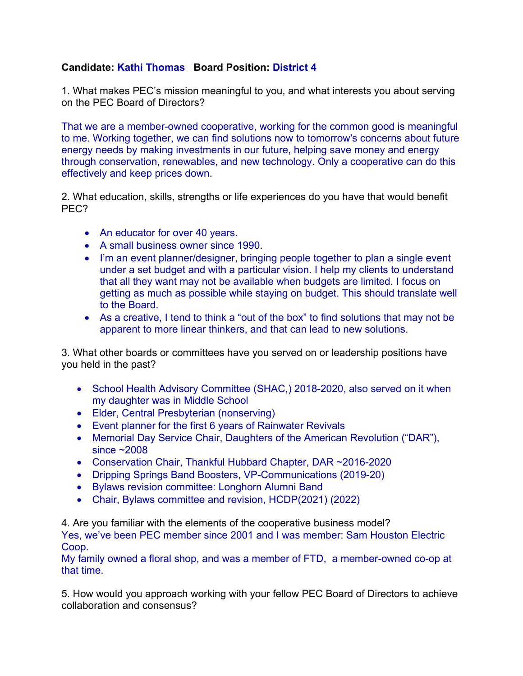## **Candidate: Kathi Thomas Board Position: District 4**

1. What makes PEC's mission meaningful to you, and what interests you about serving on the PEC Board of Directors?

That we are a member-owned cooperative, working for the common good is meaningful to me. Working together, we can find solutions now to tomorrow's concerns about future energy needs by making investments in our future, helping save money and energy through conservation, renewables, and new technology. Only a cooperative can do this effectively and keep prices down.

2. What education, skills, strengths or life experiences do you have that would benefit PEC?

- An educator for over 40 years.
- A small business owner since 1990.
- I'm an event planner/designer, bringing people together to plan a single event under a set budget and with a particular vision. I help my clients to understand that all they want may not be available when budgets are limited. I focus on getting as much as possible while staying on budget. This should translate well to the Board.
- As a creative, I tend to think a "out of the box" to find solutions that may not be apparent to more linear thinkers, and that can lead to new solutions.

3. What other boards or committees have you served on or leadership positions have you held in the past?

- School Health Advisory Committee (SHAC,) 2018-2020, also served on it when my daughter was in Middle School
- Elder, Central Presbyterian (nonserving)
- Event planner for the first 6 years of Rainwater Revivals
- Memorial Day Service Chair, Daughters of the American Revolution ("DAR"), since ~2008
- Conservation Chair, Thankful Hubbard Chapter, DAR ~2016-2020
- Dripping Springs Band Boosters, VP-Communications (2019-20)
- Bylaws revision committee: Longhorn Alumni Band
- Chair, Bylaws committee and revision, HCDP(2021) (2022)

4. Are you familiar with the elements of the cooperative business model?

Yes, we've been PEC member since 2001 and I was member: Sam Houston Electric Coop.

My family owned a floral shop, and was a member of FTD, a member-owned co-op at that time.

5. How would you approach working with your fellow PEC Board of Directors to achieve collaboration and consensus?